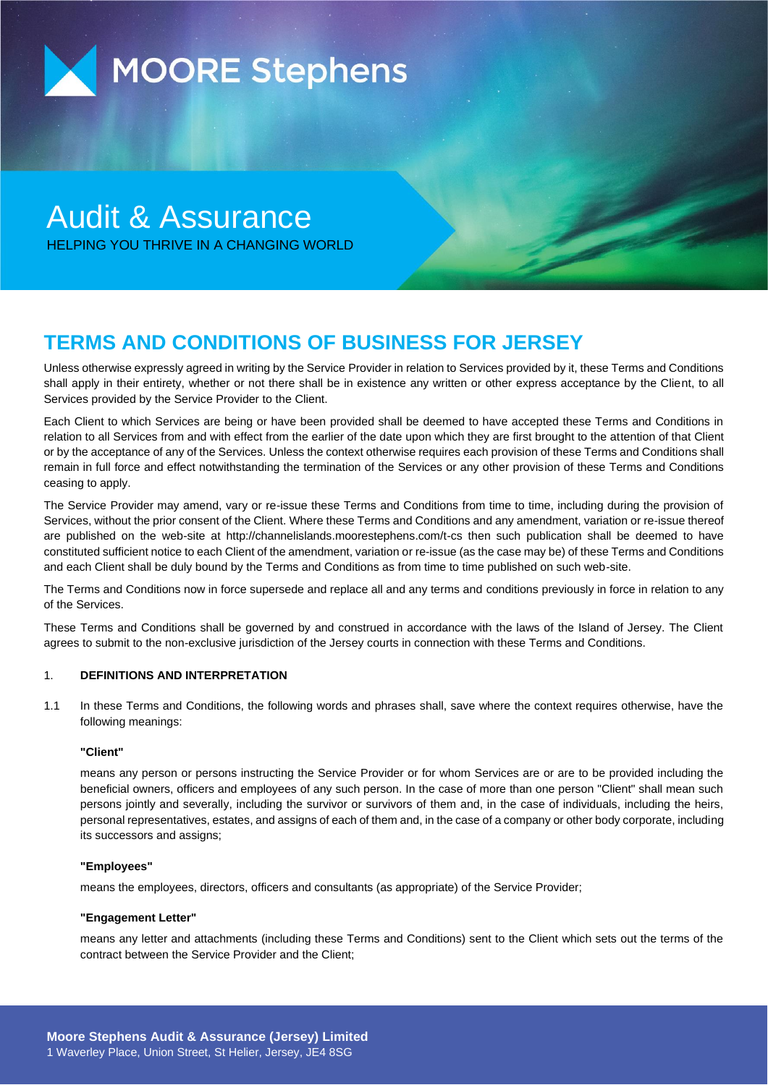

# Audit & Assurance HELPING YOU THRIVE IN A CHANGING WORLD

# **TERMS AND CONDITIONS OF BUSINESS FOR JERSEY**

Unless otherwise expressly agreed in writing by the Service Provider in relation to Services provided by it, these Terms and Conditions shall apply in their entirety, whether or not there shall be in existence any written or other express acceptance by the Client, to all Services provided by the Service Provider to the Client.

Each Client to which Services are being or have been provided shall be deemed to have accepted these Terms and Conditions in relation to all Services from and with effect from the earlier of the date upon which they are first brought to the attention of that Client or by the acceptance of any of the Services. Unless the context otherwise requires each provision of these Terms and Conditions shall remain in full force and effect notwithstanding the termination of the Services or any other provision of these Terms and Conditions ceasing to apply.

The Service Provider may amend, vary or re-issue these Terms and Conditions from time to time, including during the provision of Services, without the prior consent of the Client. Where these Terms and Conditions and any amendment, variation or re-issue thereof are published on the web-site at http://channelislands.moorestephens.com/t-cs then such publication shall be deemed to have constituted sufficient notice to each Client of the amendment, variation or re-issue (as the case may be) of these Terms and Conditions and each Client shall be duly bound by the Terms and Conditions as from time to time published on such web-site.

The Terms and Conditions now in force supersede and replace all and any terms and conditions previously in force in relation to any of the Services.

These Terms and Conditions shall be governed by and construed in accordance with the laws of the Island of Jersey. The Client agrees to submit to the non-exclusive jurisdiction of the Jersey courts in connection with these Terms and Conditions.

#### 1. **DEFINITIONS AND INTERPRETATION**

1.1 In these Terms and Conditions, the following words and phrases shall, save where the context requires otherwise, have the following meanings:

#### **"Client"**

means any person or persons instructing the Service Provider or for whom Services are or are to be provided including the beneficial owners, officers and employees of any such person. In the case of more than one person "Client" shall mean such persons jointly and severally, including the survivor or survivors of them and, in the case of individuals, including the heirs, personal representatives, estates, and assigns of each of them and, in the case of a company or other body corporate, including its successors and assigns;

#### **"Employees"**

means the employees, directors, officers and consultants (as appropriate) of the Service Provider;

#### **"Engagement Letter"**

means any letter and attachments (including these Terms and Conditions) sent to the Client which sets out the terms of the contract between the Service Provider and the Client;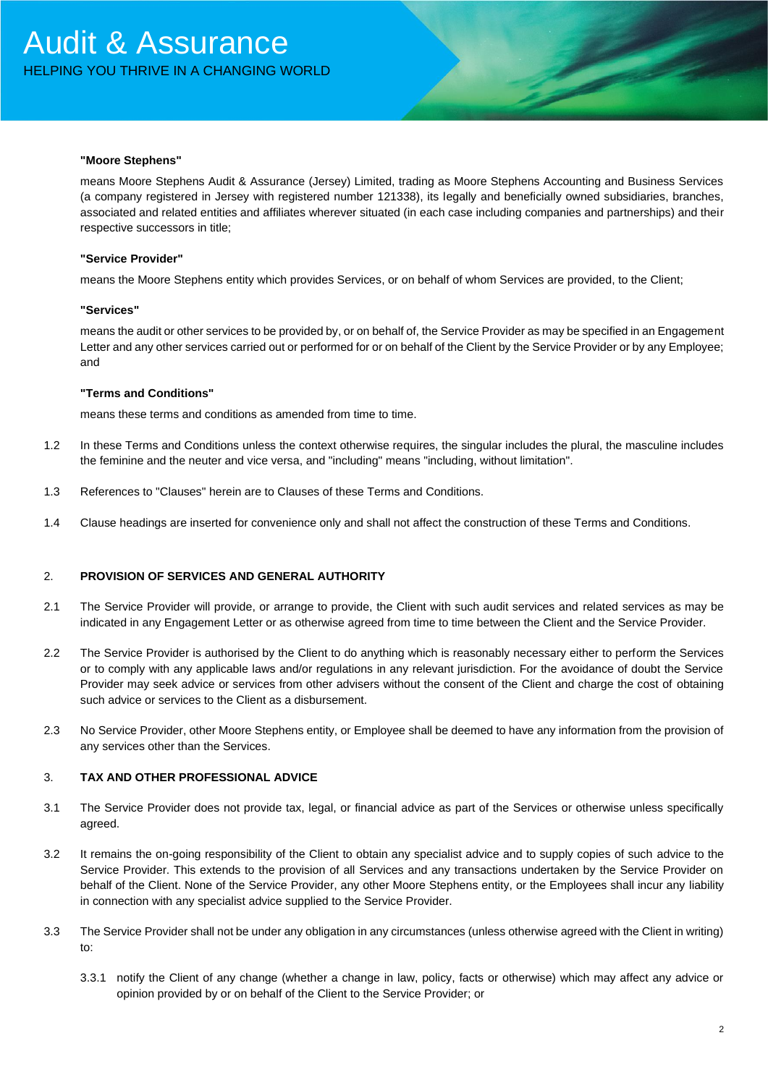#### **"Moore Stephens"**

means Moore Stephens Audit & Assurance (Jersey) Limited, trading as Moore Stephens Accounting and Business Services (a company registered in Jersey with registered number 121338), its legally and beneficially owned subsidiaries, branches, associated and related entities and affiliates wherever situated (in each case including companies and partnerships) and their respective successors in title;

#### **"Service Provider"**

means the Moore Stephens entity which provides Services, or on behalf of whom Services are provided, to the Client;

#### **"Services"**

means the audit or other services to be provided by, or on behalf of, the Service Provider as may be specified in an Engagement Letter and any other services carried out or performed for or on behalf of the Client by the Service Provider or by any Employee; and

#### **"Terms and Conditions"**

means these terms and conditions as amended from time to time.

- 1.2 In these Terms and Conditions unless the context otherwise requires, the singular includes the plural, the masculine includes the feminine and the neuter and vice versa, and "including" means "including, without limitation".
- 1.3 References to "Clauses" herein are to Clauses of these Terms and Conditions.
- 1.4 Clause headings are inserted for convenience only and shall not affect the construction of these Terms and Conditions.

#### 2. **PROVISION OF SERVICES AND GENERAL AUTHORITY**

- 2.1 The Service Provider will provide, or arrange to provide, the Client with such audit services and related services as may be indicated in any Engagement Letter or as otherwise agreed from time to time between the Client and the Service Provider.
- 2.2 The Service Provider is authorised by the Client to do anything which is reasonably necessary either to perform the Services or to comply with any applicable laws and/or regulations in any relevant jurisdiction. For the avoidance of doubt the Service Provider may seek advice or services from other advisers without the consent of the Client and charge the cost of obtaining such advice or services to the Client as a disbursement.
- 2.3 No Service Provider, other Moore Stephens entity, or Employee shall be deemed to have any information from the provision of any services other than the Services.

#### 3. **TAX AND OTHER PROFESSIONAL ADVICE**

- 3.1 The Service Provider does not provide tax, legal, or financial advice as part of the Services or otherwise unless specifically agreed.
- 3.2 It remains the on-going responsibility of the Client to obtain any specialist advice and to supply copies of such advice to the Service Provider. This extends to the provision of all Services and any transactions undertaken by the Service Provider on behalf of the Client. None of the Service Provider, any other Moore Stephens entity, or the Employees shall incur any liability in connection with any specialist advice supplied to the Service Provider.
- 3.3 The Service Provider shall not be under any obligation in any circumstances (unless otherwise agreed with the Client in writing) to:
	- 3.3.1 notify the Client of any change (whether a change in law, policy, facts or otherwise) which may affect any advice or opinion provided by or on behalf of the Client to the Service Provider; or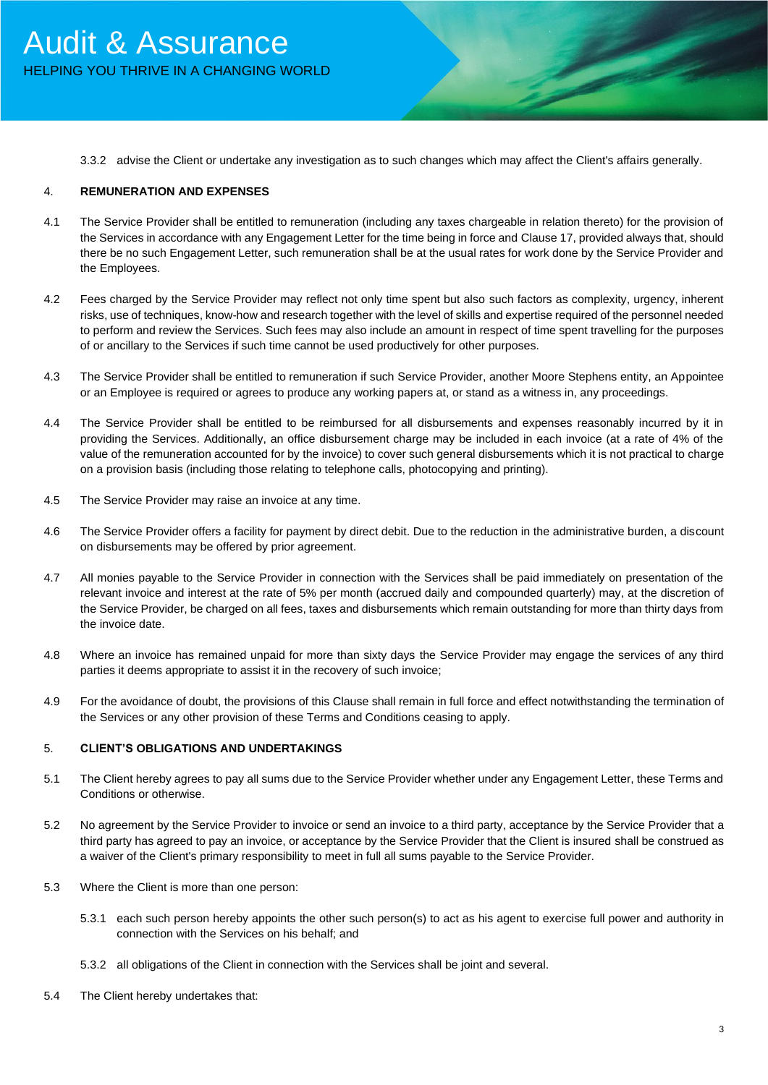3.3.2 advise the Client or undertake any investigation as to such changes which may affect the Client's affairs generally.

## 4. **REMUNERATION AND EXPENSES**

- 4.1 The Service Provider shall be entitled to remuneration (including any taxes chargeable in relation thereto) for the provision of the Services in accordance with any Engagement Letter for the time being in force and Clause 17, provided always that, should there be no such Engagement Letter, such remuneration shall be at the usual rates for work done by the Service Provider and the Employees.
- 4.2 Fees charged by the Service Provider may reflect not only time spent but also such factors as complexity, urgency, inherent risks, use of techniques, know-how and research together with the level of skills and expertise required of the personnel needed to perform and review the Services. Such fees may also include an amount in respect of time spent travelling for the purposes of or ancillary to the Services if such time cannot be used productively for other purposes.
- 4.3 The Service Provider shall be entitled to remuneration if such Service Provider, another Moore Stephens entity, an Appointee or an Employee is required or agrees to produce any working papers at, or stand as a witness in, any proceedings.
- 4.4 The Service Provider shall be entitled to be reimbursed for all disbursements and expenses reasonably incurred by it in providing the Services. Additionally, an office disbursement charge may be included in each invoice (at a rate of 4% of the value of the remuneration accounted for by the invoice) to cover such general disbursements which it is not practical to charge on a provision basis (including those relating to telephone calls, photocopying and printing).
- 4.5 The Service Provider may raise an invoice at any time.
- 4.6 The Service Provider offers a facility for payment by direct debit. Due to the reduction in the administrative burden, a discount on disbursements may be offered by prior agreement.
- 4.7 All monies payable to the Service Provider in connection with the Services shall be paid immediately on presentation of the relevant invoice and interest at the rate of 5% per month (accrued daily and compounded quarterly) may, at the discretion of the Service Provider, be charged on all fees, taxes and disbursements which remain outstanding for more than thirty days from the invoice date.
- 4.8 Where an invoice has remained unpaid for more than sixty days the Service Provider may engage the services of any third parties it deems appropriate to assist it in the recovery of such invoice;
- 4.9 For the avoidance of doubt, the provisions of this Clause shall remain in full force and effect notwithstanding the termination of the Services or any other provision of these Terms and Conditions ceasing to apply.

#### 5. **CLIENT'S OBLIGATIONS AND UNDERTAKINGS**

- 5.1 The Client hereby agrees to pay all sums due to the Service Provider whether under any Engagement Letter, these Terms and Conditions or otherwise.
- 5.2 No agreement by the Service Provider to invoice or send an invoice to a third party, acceptance by the Service Provider that a third party has agreed to pay an invoice, or acceptance by the Service Provider that the Client is insured shall be construed as a waiver of the Client's primary responsibility to meet in full all sums payable to the Service Provider.
- 5.3 Where the Client is more than one person:
	- 5.3.1 each such person hereby appoints the other such person(s) to act as his agent to exercise full power and authority in connection with the Services on his behalf; and
	- 5.3.2 all obligations of the Client in connection with the Services shall be joint and several.
- 5.4 The Client hereby undertakes that: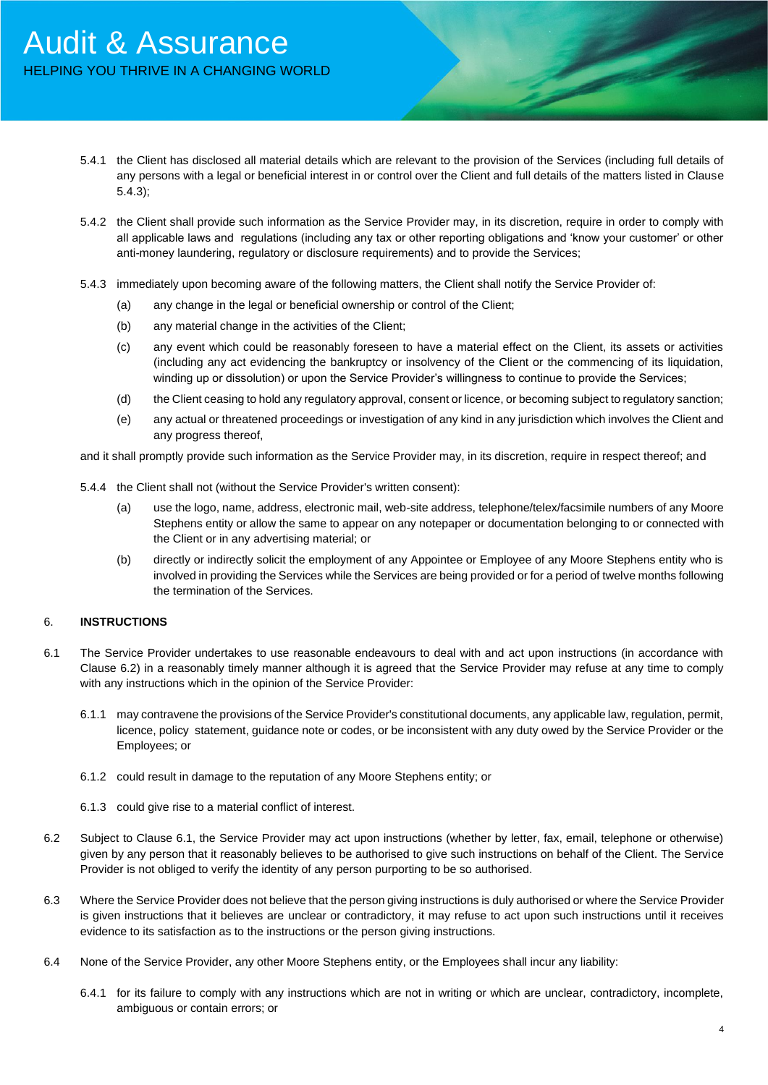- 5.4.1 the Client has disclosed all material details which are relevant to the provision of the Services (including full details of any persons with a legal or beneficial interest in or control over the Client and full details of the matters listed in Clause 5.4.3);
- 5.4.2 the Client shall provide such information as the Service Provider may, in its discretion, require in order to comply with all applicable laws and regulations (including any tax or other reporting obligations and 'know your customer' or other anti-money laundering, regulatory or disclosure requirements) and to provide the Services;
- 5.4.3 immediately upon becoming aware of the following matters, the Client shall notify the Service Provider of:
	- (a) any change in the legal or beneficial ownership or control of the Client;
	- (b) any material change in the activities of the Client;
	- (c) any event which could be reasonably foreseen to have a material effect on the Client, its assets or activities (including any act evidencing the bankruptcy or insolvency of the Client or the commencing of its liquidation, winding up or dissolution) or upon the Service Provider's willingness to continue to provide the Services;
	- (d) the Client ceasing to hold any regulatory approval, consent or licence, or becoming subject to regulatory sanction;
	- (e) any actual or threatened proceedings or investigation of any kind in any jurisdiction which involves the Client and any progress thereof,

and it shall promptly provide such information as the Service Provider may, in its discretion, require in respect thereof; and

- 5.4.4 the Client shall not (without the Service Provider's written consent):
	- (a) use the logo, name, address, electronic mail, web-site address, telephone/telex/facsimile numbers of any Moore Stephens entity or allow the same to appear on any notepaper or documentation belonging to or connected with the Client or in any advertising material; or
	- (b) directly or indirectly solicit the employment of any Appointee or Employee of any Moore Stephens entity who is involved in providing the Services while the Services are being provided or for a period of twelve months following the termination of the Services.

#### 6. **INSTRUCTIONS**

- 6.1 The Service Provider undertakes to use reasonable endeavours to deal with and act upon instructions (in accordance with Clause 6.2) in a reasonably timely manner although it is agreed that the Service Provider may refuse at any time to comply with any instructions which in the opinion of the Service Provider:
	- 6.1.1 may contravene the provisions of the Service Provider's constitutional documents, any applicable law, regulation, permit, licence, policy statement, guidance note or codes, or be inconsistent with any duty owed by the Service Provider or the Employees; or
	- 6.1.2 could result in damage to the reputation of any Moore Stephens entity; or
	- 6.1.3 could give rise to a material conflict of interest.
- 6.2 Subject to Clause 6.1, the Service Provider may act upon instructions (whether by letter, fax, email, telephone or otherwise) given by any person that it reasonably believes to be authorised to give such instructions on behalf of the Client. The Service Provider is not obliged to verify the identity of any person purporting to be so authorised.
- 6.3 Where the Service Provider does not believe that the person giving instructions is duly authorised or where the Service Provider is given instructions that it believes are unclear or contradictory, it may refuse to act upon such instructions until it receives evidence to its satisfaction as to the instructions or the person giving instructions.
- 6.4 None of the Service Provider, any other Moore Stephens entity, or the Employees shall incur any liability:
	- 6.4.1 for its failure to comply with any instructions which are not in writing or which are unclear, contradictory, incomplete, ambiguous or contain errors; or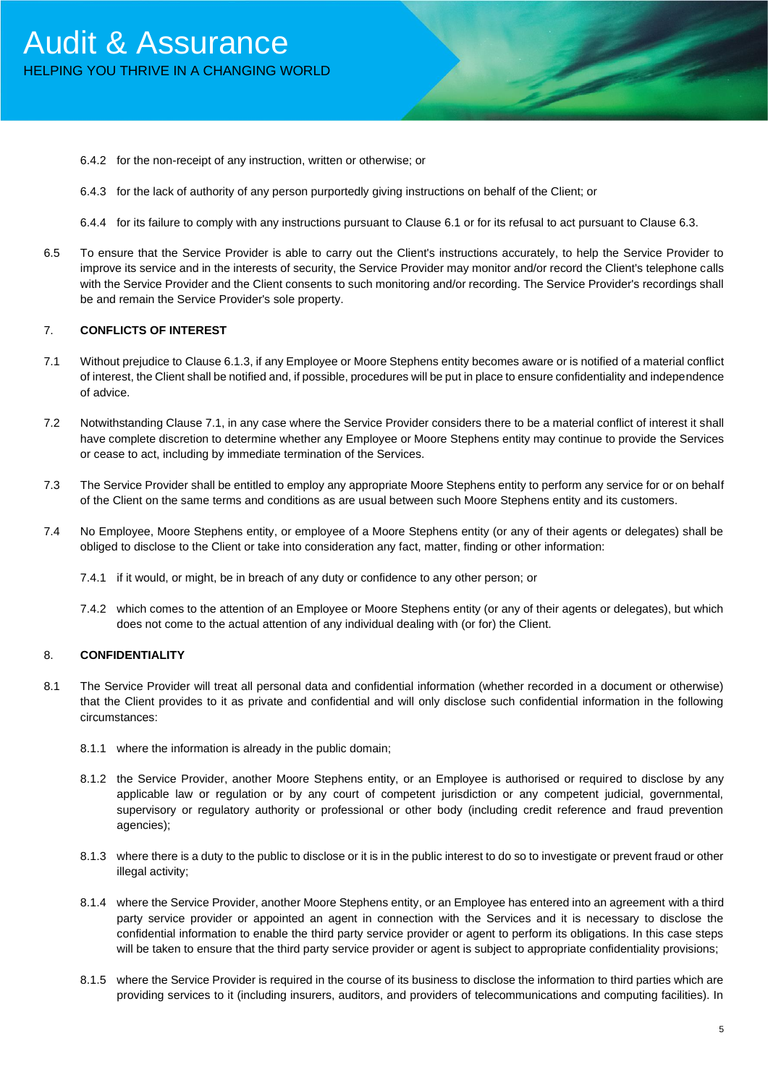- 6.4.2 for the non-receipt of any instruction, written or otherwise; or
- 6.4.3 for the lack of authority of any person purportedly giving instructions on behalf of the Client; or
- 6.4.4 for its failure to comply with any instructions pursuant to Clause 6.1 or for its refusal to act pursuant to Clause 6.3.
- 6.5 To ensure that the Service Provider is able to carry out the Client's instructions accurately, to help the Service Provider to improve its service and in the interests of security, the Service Provider may monitor and/or record the Client's telephone calls with the Service Provider and the Client consents to such monitoring and/or recording. The Service Provider's recordings shall be and remain the Service Provider's sole property.

#### 7. **CONFLICTS OF INTEREST**

- 7.1 Without prejudice to Clause 6.1.3, if any Employee or Moore Stephens entity becomes aware or is notified of a material conflict of interest, the Client shall be notified and, if possible, procedures will be put in place to ensure confidentiality and independence of advice.
- 7.2 Notwithstanding Clause 7.1, in any case where the Service Provider considers there to be a material conflict of interest it shall have complete discretion to determine whether any Employee or Moore Stephens entity may continue to provide the Services or cease to act, including by immediate termination of the Services.
- 7.3 The Service Provider shall be entitled to employ any appropriate Moore Stephens entity to perform any service for or on behalf of the Client on the same terms and conditions as are usual between such Moore Stephens entity and its customers.
- 7.4 No Employee, Moore Stephens entity, or employee of a Moore Stephens entity (or any of their agents or delegates) shall be obliged to disclose to the Client or take into consideration any fact, matter, finding or other information:
	- 7.4.1 if it would, or might, be in breach of any duty or confidence to any other person; or
	- 7.4.2 which comes to the attention of an Employee or Moore Stephens entity (or any of their agents or delegates), but which does not come to the actual attention of any individual dealing with (or for) the Client.

### 8. **CONFIDENTIALITY**

- 8.1 The Service Provider will treat all personal data and confidential information (whether recorded in a document or otherwise) that the Client provides to it as private and confidential and will only disclose such confidential information in the following circumstances:
	- 8.1.1 where the information is already in the public domain;
	- 8.1.2 the Service Provider, another Moore Stephens entity, or an Employee is authorised or required to disclose by any applicable law or regulation or by any court of competent jurisdiction or any competent judicial, governmental, supervisory or regulatory authority or professional or other body (including credit reference and fraud prevention agencies);
	- 8.1.3 where there is a duty to the public to disclose or it is in the public interest to do so to investigate or prevent fraud or other illegal activity;
	- 8.1.4 where the Service Provider, another Moore Stephens entity, or an Employee has entered into an agreement with a third party service provider or appointed an agent in connection with the Services and it is necessary to disclose the confidential information to enable the third party service provider or agent to perform its obligations. In this case steps will be taken to ensure that the third party service provider or agent is subject to appropriate confidentiality provisions;
	- 8.1.5 where the Service Provider is required in the course of its business to disclose the information to third parties which are providing services to it (including insurers, auditors, and providers of telecommunications and computing facilities). In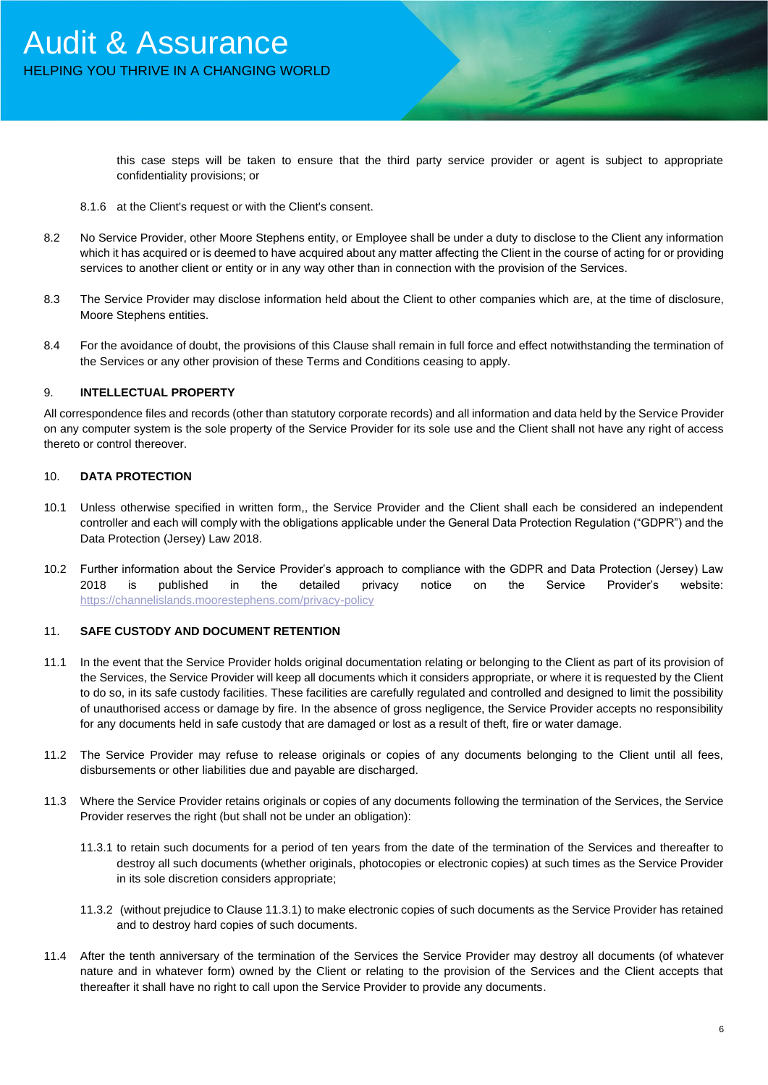this case steps will be taken to ensure that the third party service provider or agent is subject to appropriate confidentiality provisions; or

- 8.1.6 at the Client's request or with the Client's consent.
- 8.2 No Service Provider, other Moore Stephens entity, or Employee shall be under a duty to disclose to the Client any information which it has acquired or is deemed to have acquired about any matter affecting the Client in the course of acting for or providing services to another client or entity or in any way other than in connection with the provision of the Services.
- 8.3 The Service Provider may disclose information held about the Client to other companies which are, at the time of disclosure, Moore Stephens entities.
- 8.4 For the avoidance of doubt, the provisions of this Clause shall remain in full force and effect notwithstanding the termination of the Services or any other provision of these Terms and Conditions ceasing to apply.

#### 9. **INTELLECTUAL PROPERTY**

All correspondence files and records (other than statutory corporate records) and all information and data held by the Service Provider on any computer system is the sole property of the Service Provider for its sole use and the Client shall not have any right of access thereto or control thereover.

#### 10. **DATA PROTECTION**

- 10.1 Unless otherwise specified in written form,, the Service Provider and the Client shall each be considered an independent controller and each will comply with the obligations applicable under the General Data Protection Regulation ("GDPR") and the Data Protection (Jersey) Law 2018.
- 10.2 Further information about the Service Provider's approach to compliance with the GDPR and Data Protection (Jersey) Law 2018 is published in the detailed privacy notice on the Service Provider's website: <https://channelislands.moorestephens.com/privacy-policy>

#### 11. **SAFE CUSTODY AND DOCUMENT RETENTION**

- 11.1 In the event that the Service Provider holds original documentation relating or belonging to the Client as part of its provision of the Services, the Service Provider will keep all documents which it considers appropriate, or where it is requested by the Client to do so, in its safe custody facilities. These facilities are carefully regulated and controlled and designed to limit the possibility of unauthorised access or damage by fire. In the absence of gross negligence, the Service Provider accepts no responsibility for any documents held in safe custody that are damaged or lost as a result of theft, fire or water damage.
- 11.2 The Service Provider may refuse to release originals or copies of any documents belonging to the Client until all fees, disbursements or other liabilities due and payable are discharged.
- 11.3 Where the Service Provider retains originals or copies of any documents following the termination of the Services, the Service Provider reserves the right (but shall not be under an obligation):
	- 11.3.1 to retain such documents for a period of ten years from the date of the termination of the Services and thereafter to destroy all such documents (whether originals, photocopies or electronic copies) at such times as the Service Provider in its sole discretion considers appropriate;
	- 11.3.2 (without prejudice to Clause 11.3.1) to make electronic copies of such documents as the Service Provider has retained and to destroy hard copies of such documents.
- 11.4 After the tenth anniversary of the termination of the Services the Service Provider may destroy all documents (of whatever nature and in whatever form) owned by the Client or relating to the provision of the Services and the Client accepts that thereafter it shall have no right to call upon the Service Provider to provide any documents.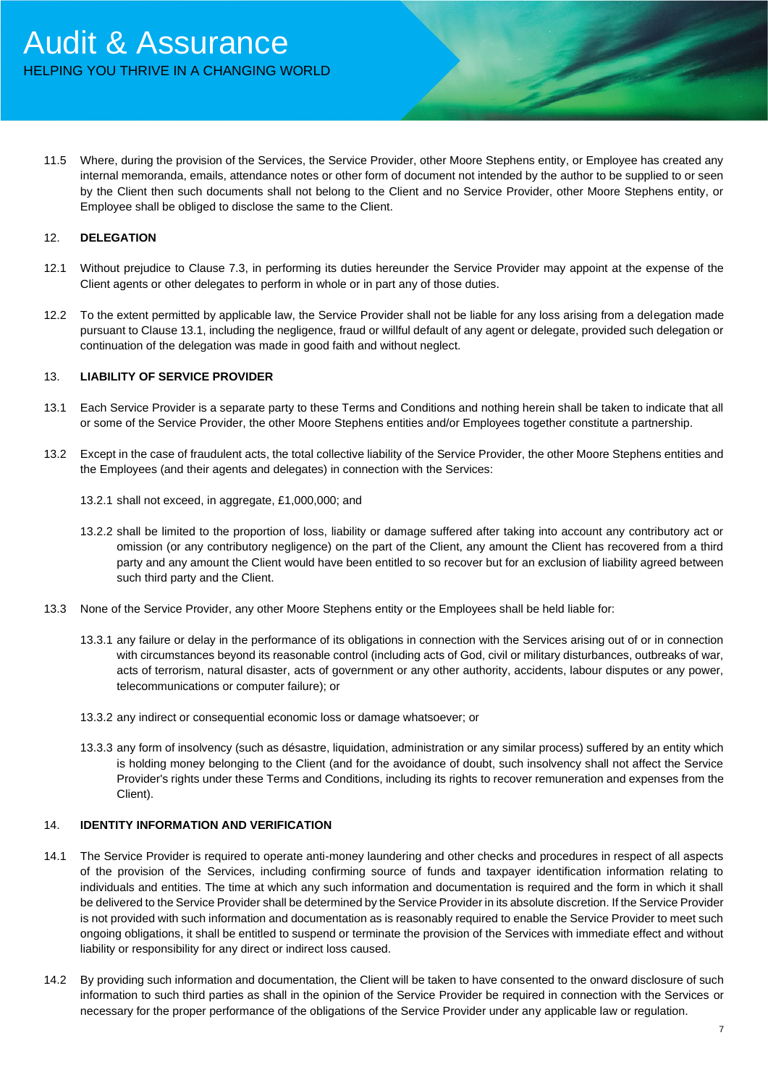11.5 Where, during the provision of the Services, the Service Provider, other Moore Stephens entity, or Employee has created any internal memoranda, emails, attendance notes or other form of document not intended by the author to be supplied to or seen by the Client then such documents shall not belong to the Client and no Service Provider, other Moore Stephens entity, or Employee shall be obliged to disclose the same to the Client.

### 12. **DELEGATION**

- 12.1 Without prejudice to Clause 7.3, in performing its duties hereunder the Service Provider may appoint at the expense of the Client agents or other delegates to perform in whole or in part any of those duties.
- 12.2 To the extent permitted by applicable law, the Service Provider shall not be liable for any loss arising from a delegation made pursuant to Clause 13.1, including the negligence, fraud or willful default of any agent or delegate, provided such delegation or continuation of the delegation was made in good faith and without neglect.

#### 13. **LIABILITY OF SERVICE PROVIDER**

- 13.1 Each Service Provider is a separate party to these Terms and Conditions and nothing herein shall be taken to indicate that all or some of the Service Provider, the other Moore Stephens entities and/or Employees together constitute a partnership.
- 13.2 Except in the case of fraudulent acts, the total collective liability of the Service Provider, the other Moore Stephens entities and the Employees (and their agents and delegates) in connection with the Services:
	- 13.2.1 shall not exceed, in aggregate, £1,000,000; and
	- 13.2.2 shall be limited to the proportion of loss, liability or damage suffered after taking into account any contributory act or omission (or any contributory negligence) on the part of the Client, any amount the Client has recovered from a third party and any amount the Client would have been entitled to so recover but for an exclusion of liability agreed between such third party and the Client.
- 13.3 None of the Service Provider, any other Moore Stephens entity or the Employees shall be held liable for:
	- 13.3.1 any failure or delay in the performance of its obligations in connection with the Services arising out of or in connection with circumstances beyond its reasonable control (including acts of God, civil or military disturbances, outbreaks of war, acts of terrorism, natural disaster, acts of government or any other authority, accidents, labour disputes or any power, telecommunications or computer failure); or
	- 13.3.2 any indirect or consequential economic loss or damage whatsoever; or
	- 13.3.3 any form of insolvency (such as désastre, liquidation, administration or any similar process) suffered by an entity which is holding money belonging to the Client (and for the avoidance of doubt, such insolvency shall not affect the Service Provider's rights under these Terms and Conditions, including its rights to recover remuneration and expenses from the Client).

### 14. **IDENTITY INFORMATION AND VERIFICATION**

- 14.1 The Service Provider is required to operate anti-money laundering and other checks and procedures in respect of all aspects of the provision of the Services, including confirming source of funds and taxpayer identification information relating to individuals and entities. The time at which any such information and documentation is required and the form in which it shall be delivered to the Service Provider shall be determined by the Service Provider in its absolute discretion. If the Service Provider is not provided with such information and documentation as is reasonably required to enable the Service Provider to meet such ongoing obligations, it shall be entitled to suspend or terminate the provision of the Services with immediate effect and without liability or responsibility for any direct or indirect loss caused.
- 14.2 By providing such information and documentation, the Client will be taken to have consented to the onward disclosure of such information to such third parties as shall in the opinion of the Service Provider be required in connection with the Services or necessary for the proper performance of the obligations of the Service Provider under any applicable law or regulation.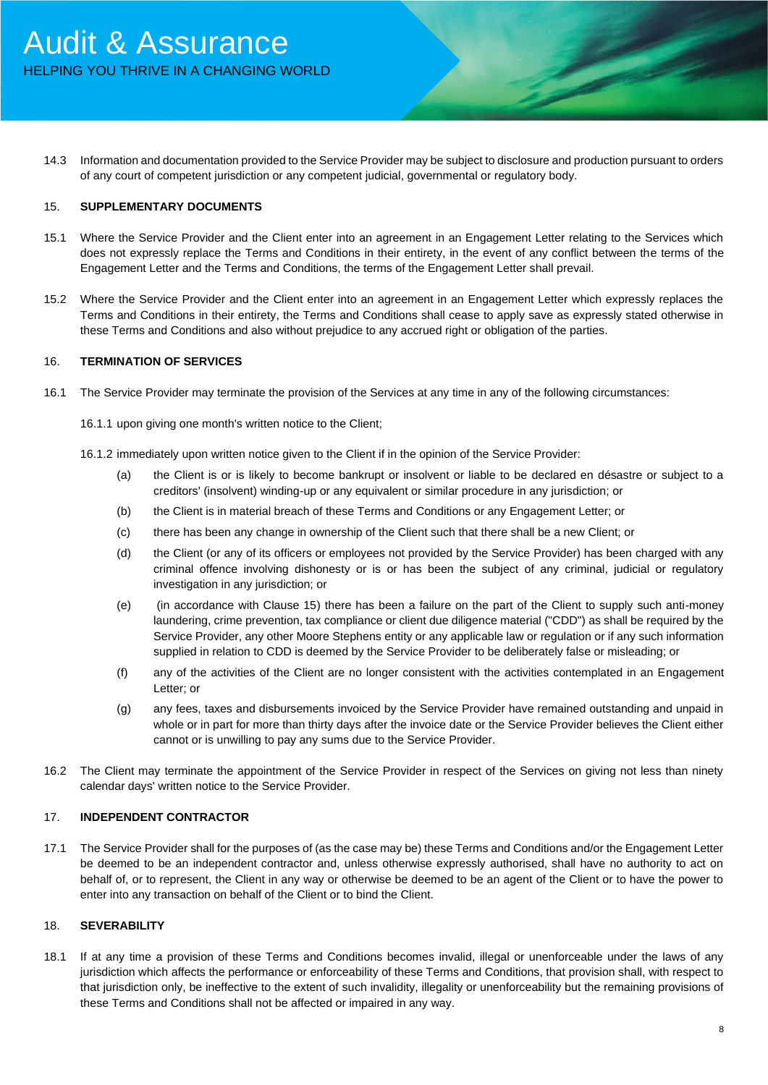14.3 Information and documentation provided to the Service Provider may be subject to disclosure and production pursuant to orders of any court of competent jurisdiction or any competent judicial, governmental or regulatory body.

#### 15. **SUPPLEMENTARY DOCUMENTS**

- 15.1 Where the Service Provider and the Client enter into an agreement in an Engagement Letter relating to the Services which does not expressly replace the Terms and Conditions in their entirety, in the event of any conflict between the terms of the Engagement Letter and the Terms and Conditions, the terms of the Engagement Letter shall prevail.
- 15.2 Where the Service Provider and the Client enter into an agreement in an Engagement Letter which expressly replaces the Terms and Conditions in their entirety, the Terms and Conditions shall cease to apply save as expressly stated otherwise in these Terms and Conditions and also without prejudice to any accrued right or obligation of the parties.

# 16. **TERMINATION OF SERVICES**

- 16.1 The Service Provider may terminate the provision of the Services at any time in any of the following circumstances:
	- 16.1.1 upon giving one month's written notice to the Client;
	- 16.1.2 immediately upon written notice given to the Client if in the opinion of the Service Provider:
		- (a) the Client is or is likely to become bankrupt or insolvent or liable to be declared en désastre or subject to a creditors' (insolvent) winding-up or any equivalent or similar procedure in any jurisdiction; or
		- (b) the Client is in material breach of these Terms and Conditions or any Engagement Letter; or
		- (c) there has been any change in ownership of the Client such that there shall be a new Client; or
		- (d) the Client (or any of its officers or employees not provided by the Service Provider) has been charged with any criminal offence involving dishonesty or is or has been the subject of any criminal, judicial or regulatory investigation in any jurisdiction; or
		- (e) (in accordance with Clause 15) there has been a failure on the part of the Client to supply such anti-money laundering, crime prevention, tax compliance or client due diligence material ("CDD") as shall be required by the Service Provider, any other Moore Stephens entity or any applicable law or regulation or if any such information supplied in relation to CDD is deemed by the Service Provider to be deliberately false or misleading; or
		- (f) any of the activities of the Client are no longer consistent with the activities contemplated in an Engagement Letter; or
		- (g) any fees, taxes and disbursements invoiced by the Service Provider have remained outstanding and unpaid in whole or in part for more than thirty days after the invoice date or the Service Provider believes the Client either cannot or is unwilling to pay any sums due to the Service Provider.
- 16.2 The Client may terminate the appointment of the Service Provider in respect of the Services on giving not less than ninety calendar days' written notice to the Service Provider.

#### 17. **INDEPENDENT CONTRACTOR**

17.1 The Service Provider shall for the purposes of (as the case may be) these Terms and Conditions and/or the Engagement Letter be deemed to be an independent contractor and, unless otherwise expressly authorised, shall have no authority to act on behalf of, or to represent, the Client in any way or otherwise be deemed to be an agent of the Client or to have the power to enter into any transaction on behalf of the Client or to bind the Client.

## 18. **SEVERABILITY**

18.1 If at any time a provision of these Terms and Conditions becomes invalid, illegal or unenforceable under the laws of any jurisdiction which affects the performance or enforceability of these Terms and Conditions, that provision shall, with respect to that jurisdiction only, be ineffective to the extent of such invalidity, illegality or unenforceability but the remaining provisions of these Terms and Conditions shall not be affected or impaired in any way.